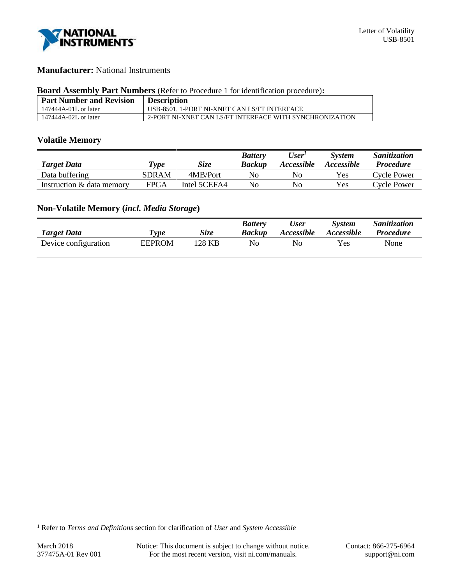

### **Manufacturer:** National Instruments

#### **Board Assembly Part Numbers** (Refer to Procedure 1 for identification procedure)**:**

| <b>Part Number and Revision</b> | <b>Description</b>                                      |
|---------------------------------|---------------------------------------------------------|
| 147444A-01L or later            | USB-8501. 1-PORT NI-XNET CAN LS/FT INTERFACE            |
| 147444A-02L or later            | 2-PORT NI-XNET CAN LS/FT INTERFACE WITH SYNCHRONIZATION |

# **Volatile Memory**

|                           |              |              | <b>Battery</b> | User <sup>T</sup> | <b>System</b>     | Sanitization     |
|---------------------------|--------------|--------------|----------------|-------------------|-------------------|------------------|
| <b>Target Data</b>        | Type         | <b>Size</b>  | <b>Backup</b>  | <i>Accessible</i> | <i>Accessible</i> | <i>Procedure</i> |
| Data buffering            | <b>SDRAM</b> | 4MB/Port     | No             | No                | Yes               | Cycle Power      |
| Instruction & data memory | FPGA         | Intel 5CEFA4 | No             | No                | Yes               | Cycle Power      |

# **Non-Volatile Memory (***incl. Media Storage***)**

| <b>Target Data</b>   | Type          | <b>Size</b> | <b>Battery</b><br>Backup | <b>User</b><br><i>Accessible</i> | <b>System</b><br><i>Accessible</i> | Sanitization<br><b>Procedure</b> |
|----------------------|---------------|-------------|--------------------------|----------------------------------|------------------------------------|----------------------------------|
| Device configuration | <b>EEPROM</b> | 128 KB      | No                       | Nο                               | Yes                                | None                             |

l

<sup>1</sup> Refer to *Terms and Definitions* section for clarification of *User* and *System Accessible*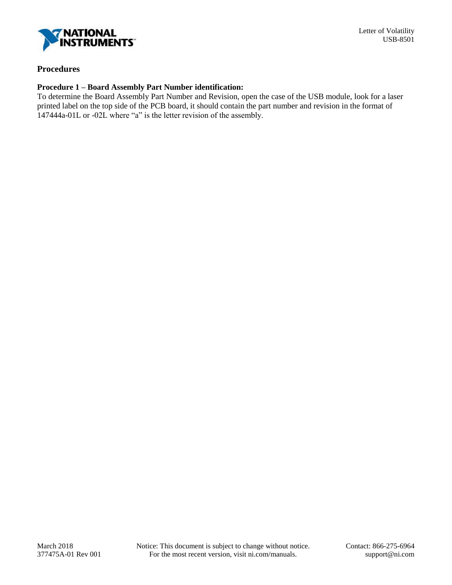

# **Procedures**

### **Procedure 1 – Board Assembly Part Number identification:**

To determine the Board Assembly Part Number and Revision, open the case of the USB module, look for a laser printed label on the top side of the PCB board, it should contain the part number and revision in the format of 147444a-01L or -02L where "a" is the letter revision of the assembly.